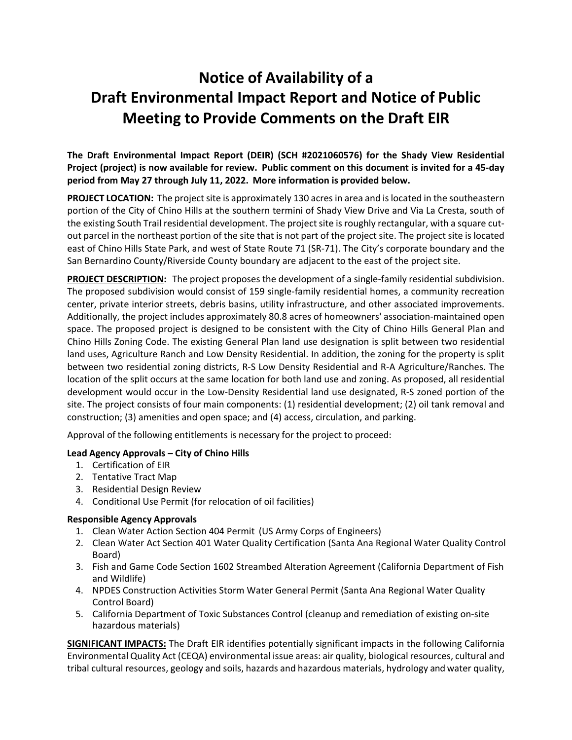# **Notice of Availability of a Draft Environmental Impact Report and Notice of Public Meeting to Provide Comments on the Draft EIR**

**The Draft Environmental Impact Report (DEIR) (SCH #2021060576) for the Shady View Residential Project (project) is now available for review. Public comment on this document is invited for a 45-day period from May 27 through July 11, 2022. More information is provided below.**

**PROJECT LOCATION:** The project site is approximately 130 acres in area and is located in the southeastern portion of the City of Chino Hills at the southern termini of Shady View Drive and Via La Cresta, south of the existing South Trail residential development. The project site is roughly rectangular, with a square cutout parcel in the northeast portion of the site that is not part of the project site. The project site is located east of Chino Hills State Park, and west of State Route 71 (SR-71). The City's corporate boundary and the San Bernardino County/Riverside County boundary are adjacent to the east of the project site.

**PROJECT DESCRIPTION:** The project proposes the development of a single-family residential subdivision. The proposed subdivision would consist of 159 single-family residential homes, a community recreation center, private interior streets, debris basins, utility infrastructure, and other associated improvements. Additionally, the project includes approximately 80.8 acres of homeowners' association-maintained open space. The proposed project is designed to be consistent with the City of Chino Hills General Plan and Chino Hills Zoning Code. The existing General Plan land use designation is split between two residential land uses, Agriculture Ranch and Low Density Residential. In addition, the zoning for the property is split between two residential zoning districts, R-S Low Density Residential and R-A Agriculture/Ranches. The location of the split occurs at the same location for both land use and zoning. As proposed, all residential development would occur in the Low-Density Residential land use designated, R-S zoned portion of the site. The project consists of four main components: (1) residential development; (2) oil tank removal and construction; (3) amenities and open space; and (4) access, circulation, and parking.

Approval of the following entitlements is necessary for the project to proceed:

## **Lead Agency Approvals – City of Chino Hills**

- 1. Certification of EIR
- 2. Tentative Tract Map
- 3. Residential Design Review
- 4. Conditional Use Permit (for relocation of oil facilities)

## **Responsible Agency Approvals**

- 1. Clean Water Action Section 404 Permit (US Army Corps of Engineers)
- 2. Clean Water Act Section 401 Water Quality Certification (Santa Ana Regional Water Quality Control Board)
- 3. Fish and Game Code Section 1602 Streambed Alteration Agreement (California Department of Fish and Wildlife)
- 4. NPDES Construction Activities Storm Water General Permit (Santa Ana Regional Water Quality Control Board)
- 5. California Department of Toxic Substances Control (cleanup and remediation of existing on-site hazardous materials)

**SIGNIFICANT IMPACTS:** The Draft EIR identifies potentially significant impacts in the following California Environmental Quality Act (CEQA) environmental issue areas: air quality, biological resources, cultural and tribal cultural resources, geology and soils, hazards and hazardous materials, hydrology and water quality,